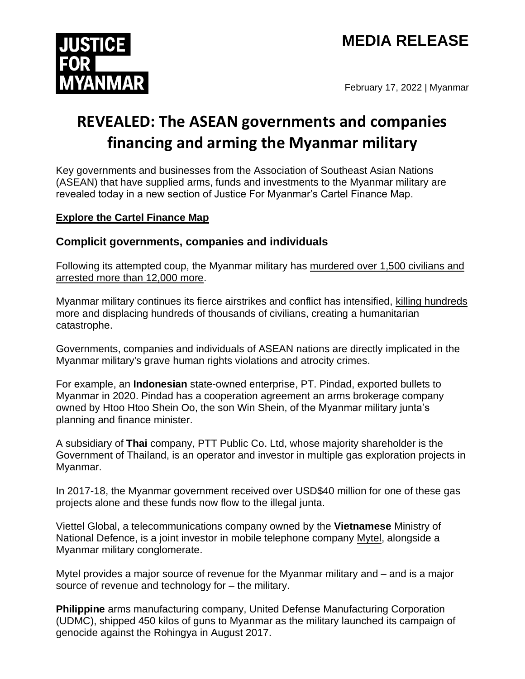# **MEDIA RELEASE**



February 17, 2022 | Myanmar

# **REVEALED: The ASEAN governments and companies financing and arming the Myanmar military**

Key governments and businesses from the Association of Southeast Asian Nations (ASEAN) that have supplied arms, funds and investments to the Myanmar military are revealed today in a new section of Justice For Myanmar's Cartel Finance Map.

#### **[Explore the Cartel Finance Map](https://data.justiceformyanmar.org/)**

### **Complicit governments, companies and individuals**

Following its attempted coup, the Myanmar military has murdered [over 1,500 civilians and](https://aappb.org/?cat=109)  [arrested more than](https://aappb.org/?cat=109) 12,000 more.

Myanmar military continues its fierce airstrikes and conflict has intensified, [killing hundreds](https://acleddata.com/data-export-tool/) more and displacing hundreds of thousands of civilians, creating a humanitarian catastrophe.

Governments, companies and individuals of ASEAN nations are directly implicated in the Myanmar military's grave human rights violations and atrocity crimes.

For example, an **Indonesian** state-owned enterprise, PT. Pindad, exported bullets to Myanmar in 2020. Pindad has a cooperation agreement an arms brokerage company owned by Htoo Htoo Shein Oo, the son Win Shein, of the Myanmar military junta's planning and finance minister.

A subsidiary of **Thai** company, PTT Public Co. Ltd, whose majority shareholder is the Government of Thailand, is an operator and investor in multiple gas exploration projects in Myanmar.

In 2017-18, the Myanmar government received over USD\$40 million for one of these gas projects alone and these funds now flow to the illegal junta.

Viettel Global, a telecommunications company owned by the **Vietnamese** Ministry of National Defence, is a joint investor in mobile telephone company [Mytel,](https://www.justiceformyanmar.org/stories/nodes-of-corruption-lines-of-abuse-how-mytel-viettel-and-a-global-network-of-businesses-support-the-international-crimes-of-the-myanmar-military) alongside a Myanmar military conglomerate.

Mytel provides a major source of revenue for the Myanmar military and – and is a major source of revenue and technology for – the military.

**Philippine** arms manufacturing company, United Defense Manufacturing Corporation (UDMC), shipped 450 kilos of guns to Myanmar as the military launched its campaign of genocide against the Rohingya in August 2017.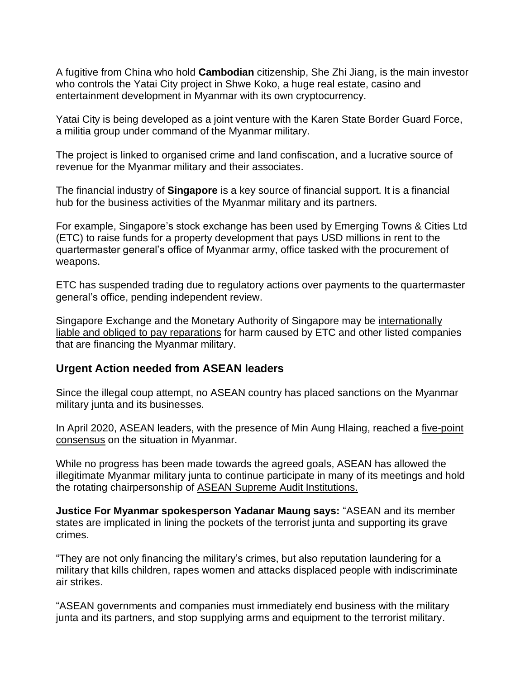A fugitive from China who hold **Cambodian** citizenship, She Zhi Jiang, is the main investor who controls the Yatai City project in Shwe Koko, a huge real estate, casino and entertainment development in Myanmar with its own cryptocurrency.

Yatai City is being developed as a joint venture with the Karen State Border Guard Force, a militia group under command of the Myanmar military.

The project is linked to organised crime and land confiscation, and a lucrative source of revenue for the Myanmar military and their associates.

The financial industry of **Singapore** is a key source of financial support. It is a financial hub for the business activities of the Myanmar military and its partners.

For example, Singapore's stock exchange has been used by Emerging Towns & Cities Ltd (ETC) to raise funds for a property development that pays USD millions in rent to the quartermaster general's office of Myanmar army, office tasked with the procurement of weapons.

ETC has suspended trading due to regulatory actions over payments to the quartermaster general's office, pending independent review.

Singapore Exchange and the Monetary Authority of Singapore may be internationally [liable and obliged to pay reparations](https://www.justiceformyanmar.org/stories/international-legal-issues-arising-for-the-singapore-stock-exchange-from-its-listing-of-emerging-towns-cities-singapore) for harm caused by ETC and other listed companies that are financing the Myanmar military.

#### **Urgent Action needed from ASEAN leaders**

Since the illegal coup attempt, no ASEAN country has placed sanctions on the Myanmar military junta and its businesses.

In April 2020, ASEAN leaders, with the presence of Min Aung Hlaing, reached a five-point [consensus](https://asean.org/wp-content/uploads/Chairmans-Statement-on-ALM-Five-Point-Consensus-24-April-2021-FINAL-a-1.pdf) on the situation in Myanmar.

While no progress has been made towards the agreed goals, ASEAN has allowed the illegitimate Myanmar military junta to continue participate in many of its meetings and hold the rotating chairpersonship of [ASEAN Supreme Audit Institutions.](https://www.justiceformyanmar.org/stories/international-audit-institutions-are-legitimising-the-illegal-myanmar-military-junta)

**Justice For Myanmar spokesperson Yadanar Maung says:** "ASEAN and its member states are implicated in lining the pockets of the terrorist junta and supporting its grave crimes.

"They are not only financing the military's crimes, but also reputation laundering for a military that kills children, rapes women and attacks displaced people with indiscriminate air strikes.

"ASEAN governments and companies must immediately end business with the military junta and its partners, and stop supplying arms and equipment to the terrorist military.